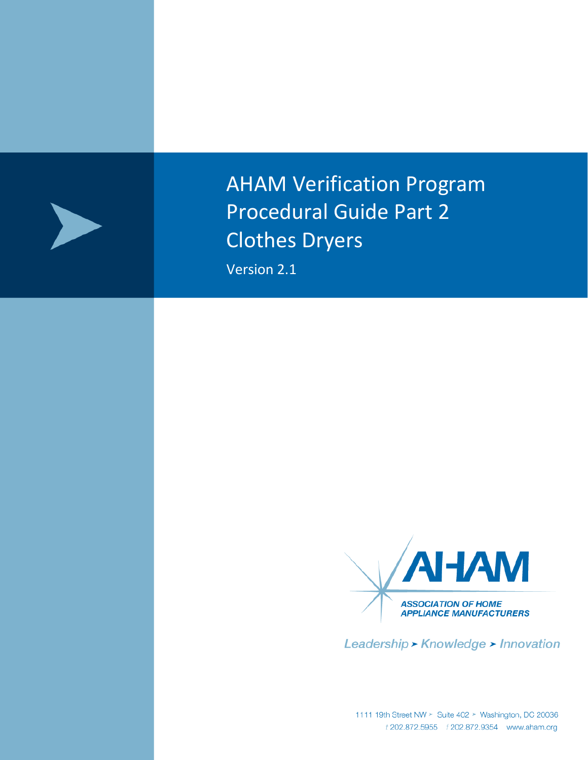

AHAM Verification Program Procedural Guide Part 2 Clothes Dryers

Version 2.1



Leadership > Knowledge > Innovation

1111 19th Street NW > Suite 402 > Washington, DC 20036<br>*t* 202.872.5955 *f* 202.872.9354 www.aham.org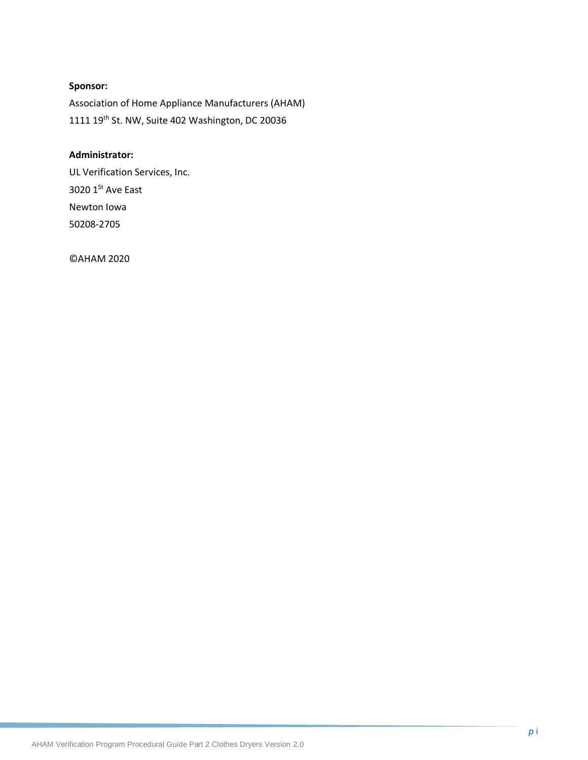### **Sponsor:**

Association of Home Appliance Manufacturers (AHAM) 1111 19th St. NW, Suite 402 Washington, DC 20036

#### **Administrator:**

UL Verification Services, Inc. 3020  $1<sup>St</sup>$  Ave East Newton Iowa 50208-2705

©AHAM 2020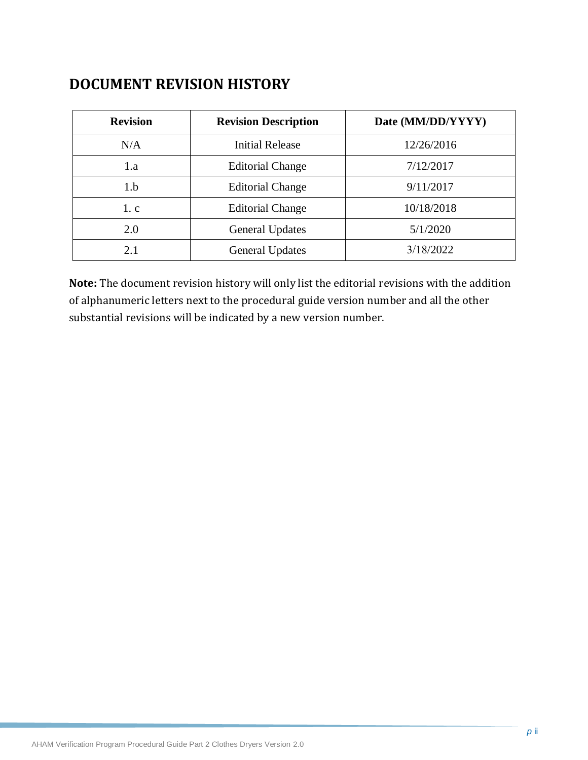# **DOCUMENT REVISION HISTORY**

| <b>Revision</b> | <b>Revision Description</b> | Date (MM/DD/YYYY) |
|-----------------|-----------------------------|-------------------|
| N/A             | <b>Initial Release</b>      | 12/26/2016        |
| 1.a             | <b>Editorial Change</b>     | 7/12/2017         |
| 1.b             | <b>Editorial Change</b>     | 9/11/2017         |
| 1.c             | <b>Editorial Change</b>     | 10/18/2018        |
| 2.0             | <b>General Updates</b>      | 5/1/2020          |
| 2.1             | <b>General Updates</b>      | 3/18/2022         |

**Note:** The document revision history will only list the editorial revisions with the addition of alphanumeric letters next to the procedural guide version number and all the other substantial revisions will be indicated by a new version number.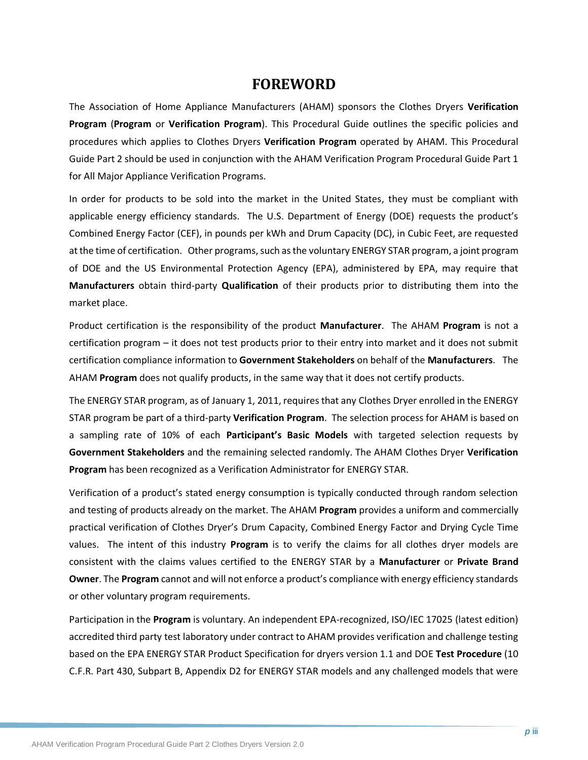## **FOREWORD**

The Association of Home Appliance Manufacturers (AHAM) sponsors the Clothes Dryers **Verification Program** (**Program** or **Verification Program**). This Procedural Guide outlines the specific policies and procedures which applies to Clothes Dryers **Verification Program** operated by AHAM. This Procedural Guide Part 2 should be used in conjunction with the AHAM Verification Program Procedural Guide Part 1 for All Major Appliance Verification Programs.

In order for products to be sold into the market in the United States, they must be compliant with applicable energy efficiency standards. The U.S. Department of Energy (DOE) requests the product's Combined Energy Factor (CEF), in pounds per kWh and Drum Capacity (DC), in Cubic Feet, are requested at the time of certification. Other programs, such as the voluntary ENERGY STAR program, a joint program of DOE and the US Environmental Protection Agency (EPA), administered by EPA, may require that **Manufacturers** obtain third-party **Qualification** of their products prior to distributing them into the market place.

Product certification is the responsibility of the product **Manufacturer**. The AHAM **Program** is not a certification program – it does not test products prior to their entry into market and it does not submit certification compliance information to **Government Stakeholders** on behalf of the **Manufacturers**. The AHAM **Program** does not qualify products, in the same way that it does not certify products.

The ENERGY STAR program, as of January 1, 2011, requires that any Clothes Dryer enrolled in the ENERGY STAR program be part of a third-party **Verification Program**. The selection process for AHAM is based on a sampling rate of 10% of each **Participant's Basic Models** with targeted selection requests by **Government Stakeholders** and the remaining selected randomly. The AHAM Clothes Dryer **Verification Program** has been recognized as a Verification Administrator for ENERGY STAR.

Verification of a product's stated energy consumption is typically conducted through random selection and testing of products already on the market. The AHAM **Program** provides a uniform and commercially practical verification of Clothes Dryer's Drum Capacity, Combined Energy Factor and Drying Cycle Time values. The intent of this industry **Program** is to verify the claims for all clothes dryer models are consistent with the claims values certified to the ENERGY STAR by a **Manufacturer** or **Private Brand Owner**. The **Program** cannot and will not enforce a product's compliance with energy efficiency standards or other voluntary program requirements.

Participation in the **Program** is voluntary. An independent EPA-recognized, ISO/IEC 17025 (latest edition) accredited third party test laboratory under contract to AHAM provides verification and challenge testing based on the EPA ENERGY STAR Product Specification for dryers version 1.1 and DOE **Test Procedure** (10 C.F.R. Part 430, Subpart B, Appendix D2 for ENERGY STAR models and any challenged models that were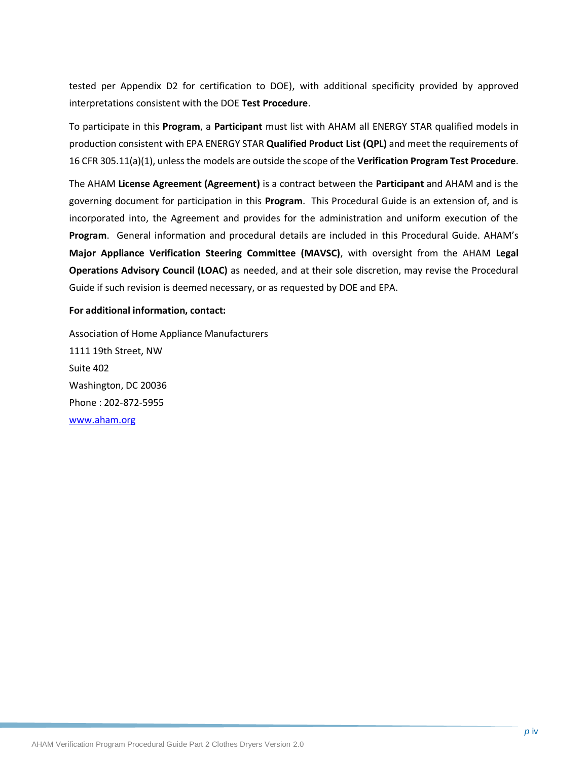tested per Appendix D2 for certification to DOE), with additional specificity provided by approved interpretations consistent with the DOE **Test Procedure**.

To participate in this **Program**, a **Participant** must list with AHAM all ENERGY STAR qualified models in production consistent with EPA ENERGY STAR **Qualified Product List (QPL)** and meet the requirements of 16 CFR 305.11(a)(1), unless the models are outside the scope of the **Verification Program Test Procedure**.

The AHAM **License Agreement (Agreement)** is a contract between the **Participant** and AHAM and is the governing document for participation in this **Program**. This Procedural Guide is an extension of, and is incorporated into, the Agreement and provides for the administration and uniform execution of the **Program**. General information and procedural details are included in this Procedural Guide. AHAM's **Major Appliance Verification Steering Committee (MAVSC)**, with oversight from the AHAM **Legal Operations Advisory Council (LOAC)** as needed, and at their sole discretion, may revise the Procedural Guide if such revision is deemed necessary, or as requested by DOE and EPA.

#### **For additional information, contact:**

Association of Home Appliance Manufacturers 1111 19th Street, NW Suite 402 Washington, DC 20036 Phone : 202-872-5955 [www.aham.org](http://www.info.org/)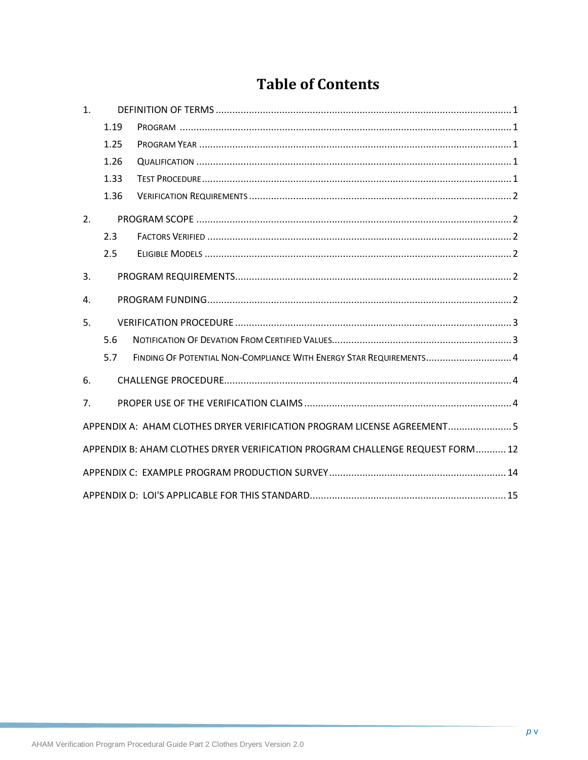# **Table of Contents**

| $\mathbf{1}$ . |      |                                                                               |
|----------------|------|-------------------------------------------------------------------------------|
|                | 1.19 |                                                                               |
|                | 1.25 |                                                                               |
|                | 1.26 |                                                                               |
|                | 1.33 |                                                                               |
|                | 1.36 |                                                                               |
| 2.             |      |                                                                               |
|                | 2.3  |                                                                               |
|                | 2.5  |                                                                               |
| 3.             |      |                                                                               |
| $\mathbf{A}$ . |      |                                                                               |
| 5.             |      |                                                                               |
|                | 5.6  |                                                                               |
|                | 5.7  | FINDING OF POTENTIAL NON-COMPLIANCE WITH ENERGY STAR REQUIREMENTS 4           |
| 6.             |      |                                                                               |
| 7 <sub>1</sub> |      |                                                                               |
|                |      | APPENDIX A: AHAM CLOTHES DRYER VERIFICATION PROGRAM LICENSE AGREEMENT 5       |
|                |      | APPENDIX B: AHAM CLOTHES DRYER VERIFICATION PROGRAM CHALLENGE REQUEST FORM 12 |
|                |      |                                                                               |
|                |      |                                                                               |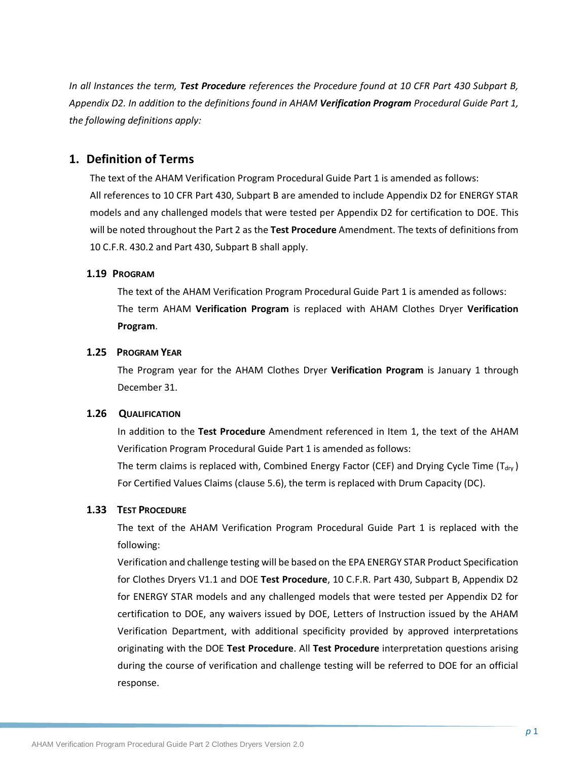*In all Instances the term, Test Procedure references the Procedure found at 10 CFR Part 430 Subpart B, Appendix D2. In addition to the definitions found in AHAM Verification Program Procedural Guide Part 1, the following definitions apply:*

### <span id="page-6-0"></span>**1. Definition of Terms**

The text of the AHAM Verification Program Procedural Guide Part 1 is amended as follows: All references to 10 CFR Part 430, Subpart B are amended to include Appendix D2 for ENERGY STAR models and any challenged models that were tested per Appendix D2 for certification to DOE. This will be noted throughout the Part 2 as the **Test Procedure** Amendment. The texts of definitions from 10 C.F.R. 430.2 and Part 430, Subpart B shall apply.

#### <span id="page-6-1"></span>**1.19 PROGRAM**

The text of the AHAM Verification Program Procedural Guide Part 1 is amended as follows: The term AHAM **Verification Program** is replaced with AHAM Clothes Dryer **Verification Program**.

#### <span id="page-6-2"></span>**1.25 PROGRAM YEAR**

<span id="page-6-3"></span>The Program year for the AHAM Clothes Dryer **Verification Program** is January 1 through December 31.

#### **1.26 QUALIFICATION**

In addition to the **Test Procedure** Amendment referenced in Item 1, the text of the AHAM Verification Program Procedural Guide Part 1 is amended as follows:

The term claims is replaced with, Combined Energy Factor (CEF) and Drying Cycle Time ( $T_{\text{div}}$ ) For Certified Values Claims (clause 5.6), the term is replaced with Drum Capacity (DC).

#### <span id="page-6-4"></span>**1.33 TEST PROCEDURE**

The text of the AHAM Verification Program Procedural Guide Part 1 is replaced with the following:

Verification and challenge testing will be based on the EPA ENERGY STAR Product Specification for Clothes Dryers V1.1 and DOE **Test Procedure**, 10 C.F.R. Part 430, Subpart B, Appendix D2 for ENERGY STAR models and any challenged models that were tested per Appendix D2 for certification to DOE, any waivers issued by DOE, Letters of Instruction issued by the AHAM Verification Department, with additional specificity provided by approved interpretations originating with the DOE **Test Procedure**. All **Test Procedure** interpretation questions arising during the course of verification and challenge testing will be referred to DOE for an official response.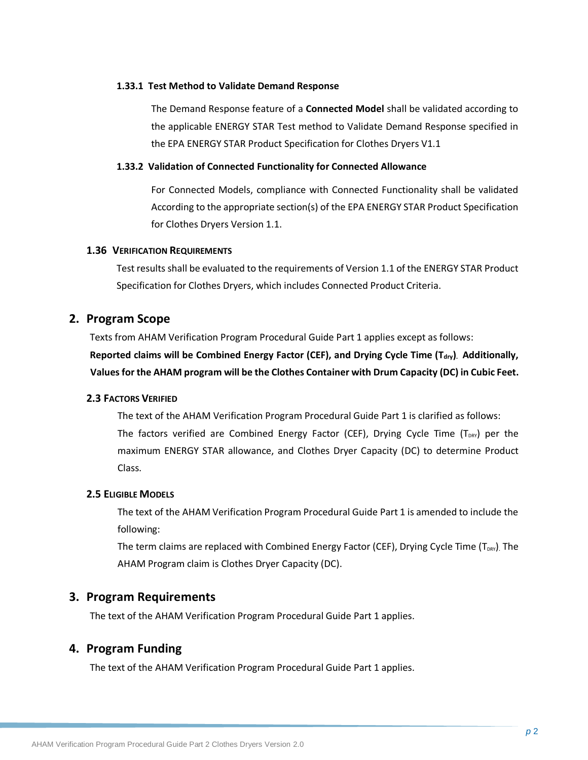#### **1.33.1 Test Method to Validate Demand Response**

The Demand Response feature of a **Connected Model** shall be validated according to the applicable ENERGY STAR Test method to Validate Demand Response specified in the EPA ENERGY STAR Product Specification for Clothes Dryers V1.1

#### **1.33.2 Validation of Connected Functionality for Connected Allowance**

For Connected Models, compliance with Connected Functionality shall be validated According to the appropriate section(s) of the EPA ENERGY STAR Product Specification for Clothes Dryers Version 1.1.

#### <span id="page-7-0"></span>**1.36 VERIFICATION REQUIREMENTS**

Test results shall be evaluated to the requirements of Version 1.1 of the ENERGY STAR Product Specification for Clothes Dryers, which includes Connected Product Criteria.

## <span id="page-7-1"></span>**2. Program Scope**

Texts from AHAM Verification Program Procedural Guide Part 1 applies except as follows:

**Reported claims will be Combined Energy Factor (CEF), and Drying Cycle Time (Tdry). Additionally, Values for the AHAM program will be the Clothes Container with Drum Capacity (DC) in Cubic Feet.**

### <span id="page-7-2"></span>**2.3 FACTORS VERIFIED**

The text of the AHAM Verification Program Procedural Guide Part 1 is clarified as follows: The factors verified are Combined Energy Factor (CEF), Drying Cycle Time ( $T_{DRY}$ ) per the maximum ENERGY STAR allowance, and Clothes Dryer Capacity (DC) to determine Product Class.

#### <span id="page-7-3"></span>**2.5 ELIGIBLE MODELS**

The text of the AHAM Verification Program Procedural Guide Part 1 is amended to include the following:

The term claims are replaced with Combined Energy Factor (CEF), Drying Cycle Time (T<sub>DRY</sub>). The AHAM Program claim is Clothes Dryer Capacity (DC).

## <span id="page-7-4"></span>**3. Program Requirements**

The text of the AHAM Verification Program Procedural Guide Part 1 applies.

## <span id="page-7-5"></span>**4. Program Funding**

The text of the AHAM Verification Program Procedural Guide Part 1 applies.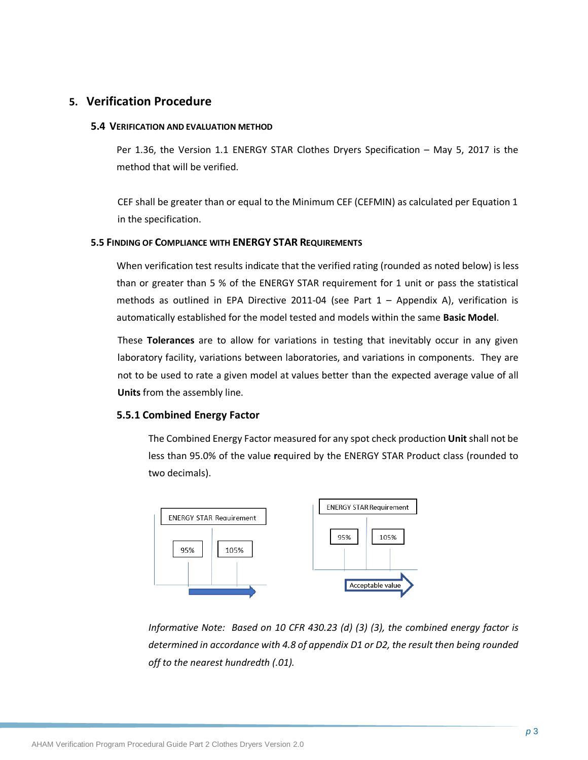## <span id="page-8-0"></span>**5. Verification Procedure**

#### **5.4 VERIFICATION AND EVALUATION METHOD**

Per 1.36, the Version 1.1 ENERGY STAR Clothes Dryers Specification – May 5, 2017 is the method that will be verified.

CEF shall be greater than or equal to the Minimum CEF (CEFMIN) as calculated per Equation 1 in the specification.

#### **5.5 FINDING OF COMPLIANCE WITH ENERGY STAR REQUIREMENTS**

When verification test results indicate that the verified rating (rounded as noted below) is less than or greater than 5 % of the ENERGY STAR requirement for 1 unit or pass the statistical methods as outlined in EPA Directive 2011-04 (see Part 1 – Appendix A), verification is automatically established for the model tested and models within the same **Basic Model**.

These **Tolerances** are to allow for variations in testing that inevitably occur in any given laboratory facility, variations between laboratories, and variations in components. They are not to be used to rate a given model at values better than the expected average value of all **Units** from the assembly line.

#### **5.5.1 Combined Energy Factor**

The Combined Energy Factor measured for any spot check production **Unit** shall not be less than 95.0% of the value **r**equired by the ENERGY STAR Product class (rounded to two decimals).



*Informative Note: Based on 10 CFR 430.23 (d) (3) (3), the combined energy factor is determined in accordance with 4.8 of appendix D1 or D2, the result then being rounded off to the nearest hundredth (.01).*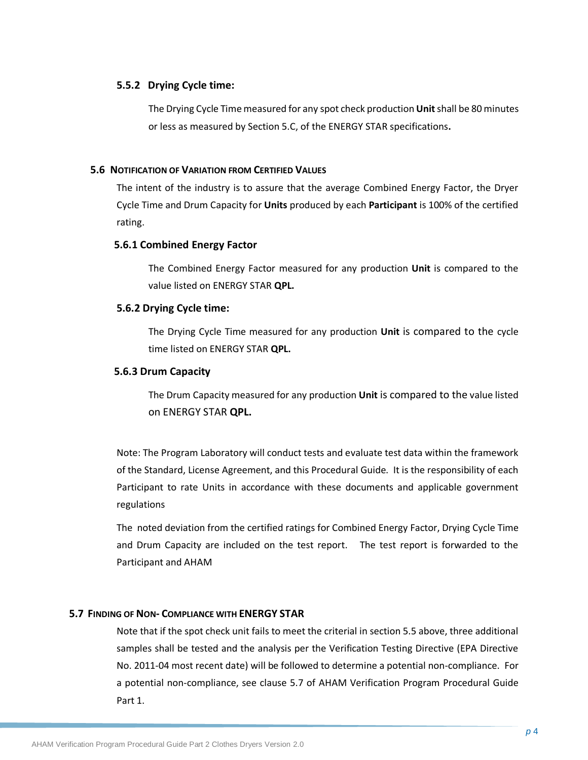#### **5.5.2 Drying Cycle time:**

The Drying Cycle Time measured for any spot check production **Unit**shall be 80 minutes or less as measured by Section 5.C, of the ENERGY STAR specifications**.**

#### **5.6 NOTIFICATION OF VARIATION FROM CERTIFIED VALUES**

The intent of the industry is to assure that the average Combined Energy Factor, the Dryer Cycle Time and Drum Capacity for **Units** produced by each **Participant** is 100% of the certified rating.

#### **5.6.1 Combined Energy Factor**

The Combined Energy Factor measured for any production **Unit** is compared to the value listed on ENERGY STAR **QPL.**

#### **5.6.2 Drying Cycle time:**

The Drying Cycle Time measured for any production **Unit** is compared to the cycle time listed on ENERGY STAR **QPL.**

#### **5.6.3 Drum Capacity**

The Drum Capacity measured for any production **Unit** is compared to the value listed on ENERGY STAR **QPL.**

Note: The Program Laboratory will conduct tests and evaluate test data within the framework of the Standard, License Agreement, and this Procedural Guide. It is the responsibility of each Participant to rate Units in accordance with these documents and applicable government regulations

The noted deviation from the certified ratings for Combined Energy Factor, Drying Cycle Time and Drum Capacity are included on the test report. The test report is forwarded to the Participant and AHAM

### **5.7 FINDING OF NON- COMPLIANCE WITH ENERGY STAR**

Note that if the spot check unit fails to meet the criterial in section 5.5 above, three additional samples shall be tested and the analysis per the Verification Testing Directive (EPA Directive No. 2011-04 most recent date) will be followed to determine a potential non-compliance. For a potential non-compliance, see clause 5.7 of AHAM Verification Program Procedural Guide Part 1.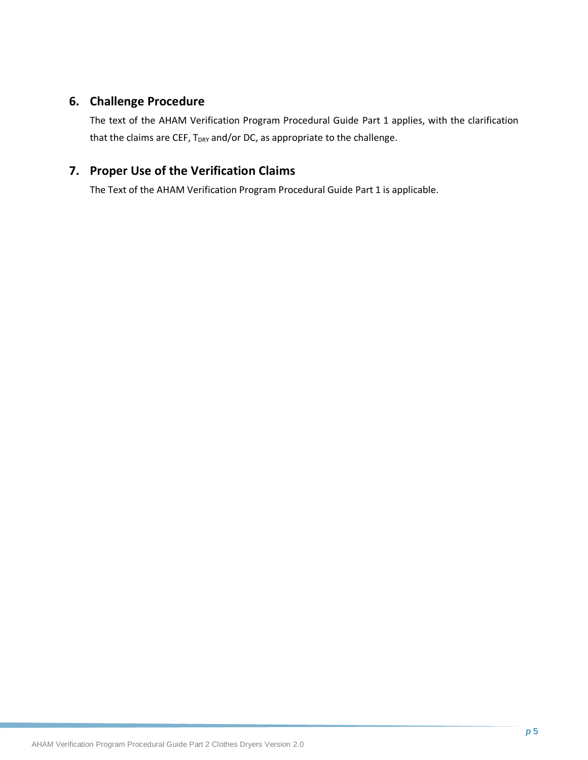## <span id="page-10-0"></span>**6. Challenge Procedure**

The text of the AHAM Verification Program Procedural Guide Part 1 applies, with the clarification that the claims are CEF, T<sub>DRY</sub> and/or DC, as appropriate to the challenge.

## <span id="page-10-1"></span>**7. Proper Use of the Verification Claims**

The Text of the AHAM Verification Program Procedural Guide Part 1 is applicable.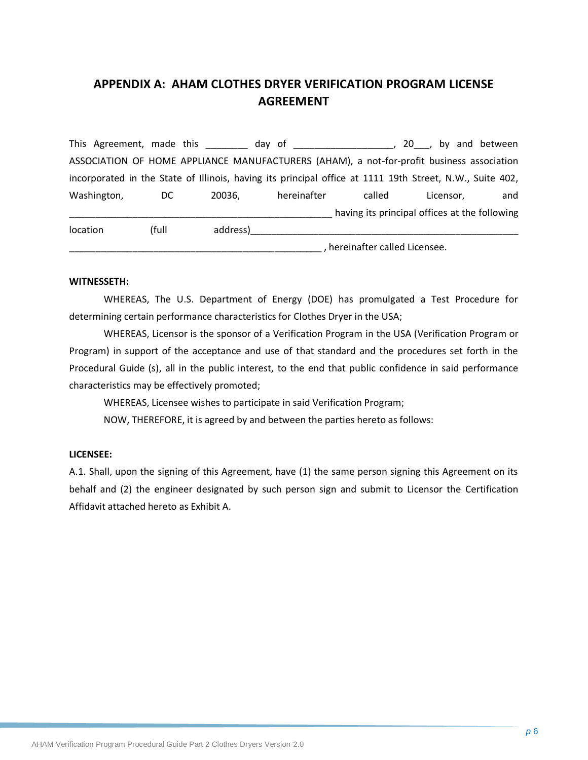## <span id="page-11-0"></span>**APPENDIX A: AHAM CLOTHES DRYER VERIFICATION PROGRAM LICENSE AGREEMENT**

This Agreement, made this this day of this allows the set of the set of the set of the set of the set of the s ASSOCIATION OF HOME APPLIANCE MANUFACTURERS (AHAM), a not-for-profit business association incorporated in the State of Illinois, having its principal office at 1111 19th Street, N.W., Suite 402, Washington, DC 20036, hereinafter called Licensor, and having its principal offices at the following location (full address)\_\_\_\_\_\_\_\_\_\_\_\_\_\_\_\_\_\_\_\_\_\_\_\_\_\_\_\_\_\_\_\_\_\_\_\_\_\_\_\_\_\_\_\_\_\_\_\_\_\_\_

## \_\_\_\_\_\_\_\_\_\_\_\_\_\_\_\_\_\_\_\_\_\_\_\_\_\_\_\_\_\_\_\_\_\_\_\_\_\_\_\_\_\_\_\_\_\_\_\_ , hereinafter called Licensee.

#### **WITNESSETH:**

WHEREAS, The U.S. Department of Energy (DOE) has promulgated a Test Procedure for determining certain performance characteristics for Clothes Dryer in the USA;

WHEREAS, Licensor is the sponsor of a Verification Program in the USA (Verification Program or Program) in support of the acceptance and use of that standard and the procedures set forth in the Procedural Guide (s), all in the public interest, to the end that public confidence in said performance characteristics may be effectively promoted;

WHEREAS, Licensee wishes to participate in said Verification Program;

NOW, THEREFORE, it is agreed by and between the parties hereto as follows:

#### **LICENSEE:**

A.1. Shall, upon the signing of this Agreement, have (1) the same person signing this Agreement on its behalf and (2) the engineer designated by such person sign and submit to Licensor the Certification Affidavit attached hereto as Exhibit A.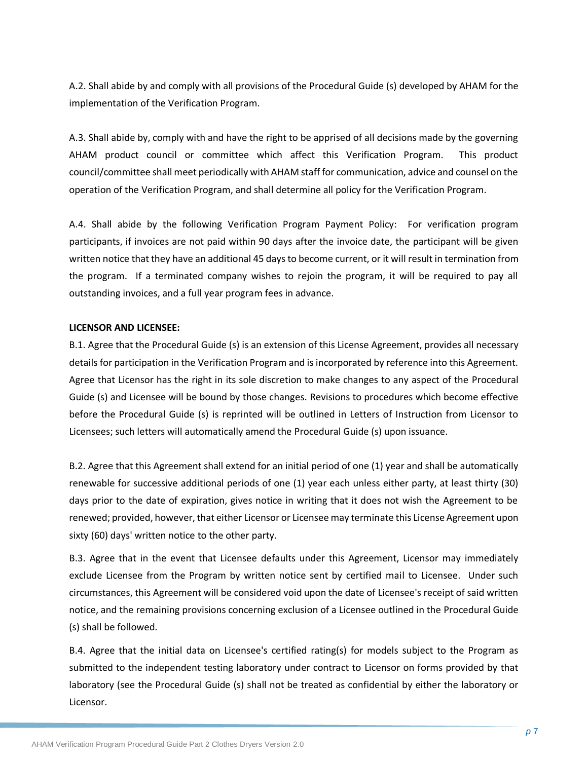A.2. Shall abide by and comply with all provisions of the Procedural Guide (s) developed by AHAM for the implementation of the Verification Program.

A.3. Shall abide by, comply with and have the right to be apprised of all decisions made by the governing AHAM product council or committee which affect this Verification Program. This product council/committee shall meet periodically with AHAM staff for communication, advice and counsel on the operation of the Verification Program, and shall determine all policy for the Verification Program.

A.4. Shall abide by the following Verification Program Payment Policy: For verification program participants, if invoices are not paid within 90 days after the invoice date, the participant will be given written notice that they have an additional 45 days to become current, or it will result in termination from the program. If a terminated company wishes to rejoin the program, it will be required to pay all outstanding invoices, and a full year program fees in advance.

#### **LICENSOR AND LICENSEE:**

B.1. Agree that the Procedural Guide (s) is an extension of this License Agreement, provides all necessary details for participation in the Verification Program and is incorporated by reference into this Agreement. Agree that Licensor has the right in its sole discretion to make changes to any aspect of the Procedural Guide (s) and Licensee will be bound by those changes. Revisions to procedures which become effective before the Procedural Guide (s) is reprinted will be outlined in Letters of Instruction from Licensor to Licensees; such letters will automatically amend the Procedural Guide (s) upon issuance.

B.2. Agree that this Agreement shall extend for an initial period of one (1) year and shall be automatically renewable for successive additional periods of one (1) year each unless either party, at least thirty (30) days prior to the date of expiration, gives notice in writing that it does not wish the Agreement to be renewed; provided, however, that either Licensor or Licensee may terminate this License Agreement upon sixty (60) days' written notice to the other party.

B.3. Agree that in the event that Licensee defaults under this Agreement, Licensor may immediately exclude Licensee from the Program by written notice sent by certified mail to Licensee. Under such circumstances, this Agreement will be considered void upon the date of Licensee's receipt of said written notice, and the remaining provisions concerning exclusion of a Licensee outlined in the Procedural Guide (s) shall be followed.

B.4. Agree that the initial data on Licensee's certified rating(s) for models subject to the Program as submitted to the independent testing laboratory under contract to Licensor on forms provided by that laboratory (see the Procedural Guide (s) shall not be treated as confidential by either the laboratory or Licensor.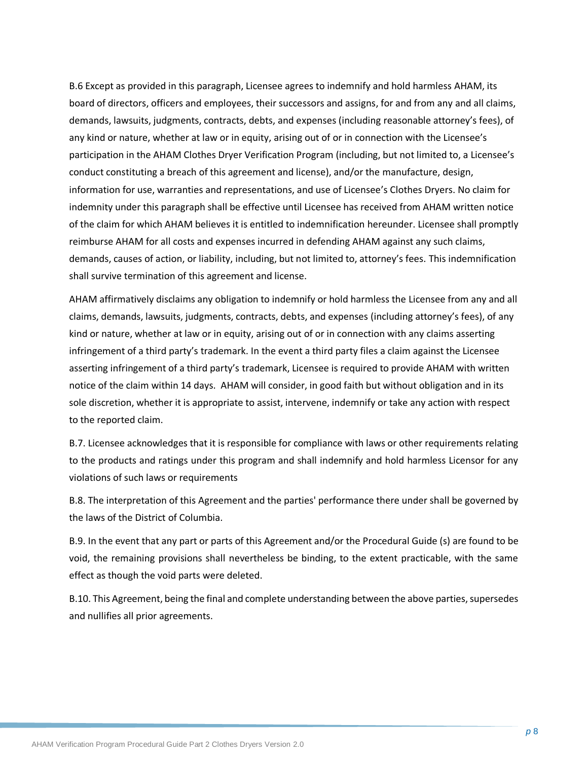B.6 Except as provided in this paragraph, Licensee agrees to indemnify and hold harmless AHAM, its board of directors, officers and employees, their successors and assigns, for and from any and all claims, demands, lawsuits, judgments, contracts, debts, and expenses (including reasonable attorney's fees), of any kind or nature, whether at law or in equity, arising out of or in connection with the Licensee's participation in the AHAM Clothes Dryer Verification Program (including, but not limited to, a Licensee's conduct constituting a breach of this agreement and license), and/or the manufacture, design, information for use, warranties and representations, and use of Licensee's Clothes Dryers. No claim for indemnity under this paragraph shall be effective until Licensee has received from AHAM written notice of the claim for which AHAM believes it is entitled to indemnification hereunder. Licensee shall promptly reimburse AHAM for all costs and expenses incurred in defending AHAM against any such claims, demands, causes of action, or liability, including, but not limited to, attorney's fees. This indemnification shall survive termination of this agreement and license.

AHAM affirmatively disclaims any obligation to indemnify or hold harmless the Licensee from any and all claims, demands, lawsuits, judgments, contracts, debts, and expenses (including attorney's fees), of any kind or nature, whether at law or in equity, arising out of or in connection with any claims asserting infringement of a third party's trademark. In the event a third party files a claim against the Licensee asserting infringement of a third party's trademark, Licensee is required to provide AHAM with written notice of the claim within 14 days. AHAM will consider, in good faith but without obligation and in its sole discretion, whether it is appropriate to assist, intervene, indemnify or take any action with respect to the reported claim.

B.7. Licensee acknowledges that it is responsible for compliance with laws or other requirements relating to the products and ratings under this program and shall indemnify and hold harmless Licensor for any violations of such laws or requirements

B.8. The interpretation of this Agreement and the parties' performance there under shall be governed by the laws of the District of Columbia.

B.9. In the event that any part or parts of this Agreement and/or the Procedural Guide (s) are found to be void, the remaining provisions shall nevertheless be binding, to the extent practicable, with the same effect as though the void parts were deleted.

B.10. This Agreement, being the final and complete understanding between the above parties, supersedes and nullifies all prior agreements.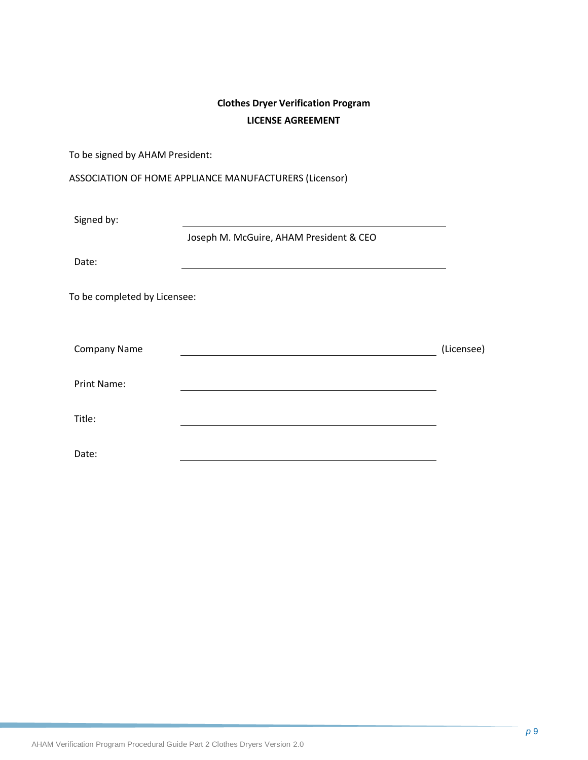## **Clothes Dryer Verification Program LICENSE AGREEMENT**

To be signed by AHAM President:

|  |  | ASSOCIATION OF HOME APPLIANCE MANUFACTURERS (Licensor) |  |
|--|--|--------------------------------------------------------|--|
|--|--|--------------------------------------------------------|--|

| Signed by:                   |                                         |            |
|------------------------------|-----------------------------------------|------------|
|                              | Joseph M. McGuire, AHAM President & CEO |            |
| Date:                        |                                         |            |
| To be completed by Licensee: |                                         |            |
| <b>Company Name</b>          |                                         | (Licensee) |
| Print Name:                  |                                         |            |
| Title:                       |                                         |            |
| Date:                        |                                         |            |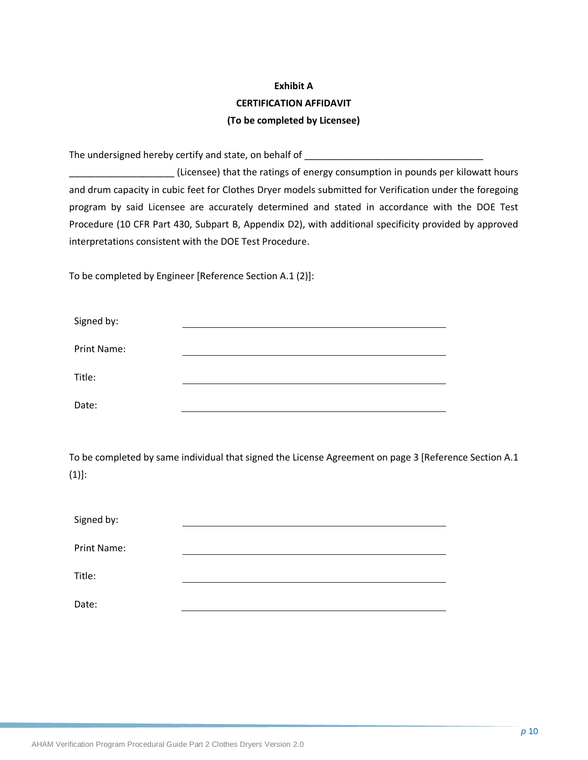## **Exhibit A CERTIFICATION AFFIDAVIT (To be completed by Licensee)**

The undersigned hereby certify and state, on behalf of **with all of**  $\blacksquare$ 

\_\_\_\_\_\_\_\_\_\_\_\_\_\_\_\_\_\_\_\_ (Licensee) that the ratings of energy consumption in pounds per kilowatt hours and drum capacity in cubic feet for Clothes Dryer models submitted for Verification under the foregoing program by said Licensee are accurately determined and stated in accordance with the DOE Test Procedure (10 CFR Part 430, Subpart B, Appendix D2), with additional specificity provided by approved interpretations consistent with the DOE Test Procedure.

To be completed by Engineer [Reference Section A.1 (2)]:

| Signed by:  |  |
|-------------|--|
| Print Name: |  |
| Title:      |  |
| Date:       |  |

To be completed by same individual that signed the License Agreement on page 3 [Reference Section A.1 (1)]:

| Signed by:         |  |
|--------------------|--|
| <b>Print Name:</b> |  |
| Title:             |  |
| Date:              |  |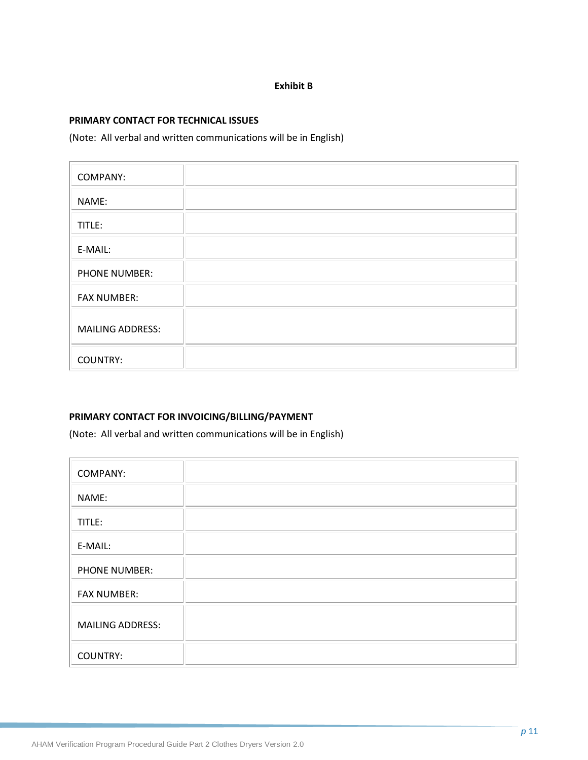#### **Exhibit B**

#### **PRIMARY CONTACT FOR TECHNICAL ISSUES**

(Note: All verbal and written communications will be in English)

| COMPANY:                |  |
|-------------------------|--|
| NAME:                   |  |
| TITLE:                  |  |
| E-MAIL:                 |  |
| <b>PHONE NUMBER:</b>    |  |
| <b>FAX NUMBER:</b>      |  |
| <b>MAILING ADDRESS:</b> |  |
| <b>COUNTRY:</b>         |  |

#### **PRIMARY CONTACT FOR INVOICING/BILLING/PAYMENT**

(Note: All verbal and written communications will be in English)

| <b>COMPANY:</b>         |  |
|-------------------------|--|
| NAME:                   |  |
| TITLE:                  |  |
| E-MAIL:                 |  |
| <b>PHONE NUMBER:</b>    |  |
| <b>FAX NUMBER:</b>      |  |
| <b>MAILING ADDRESS:</b> |  |
| <b>COUNTRY:</b>         |  |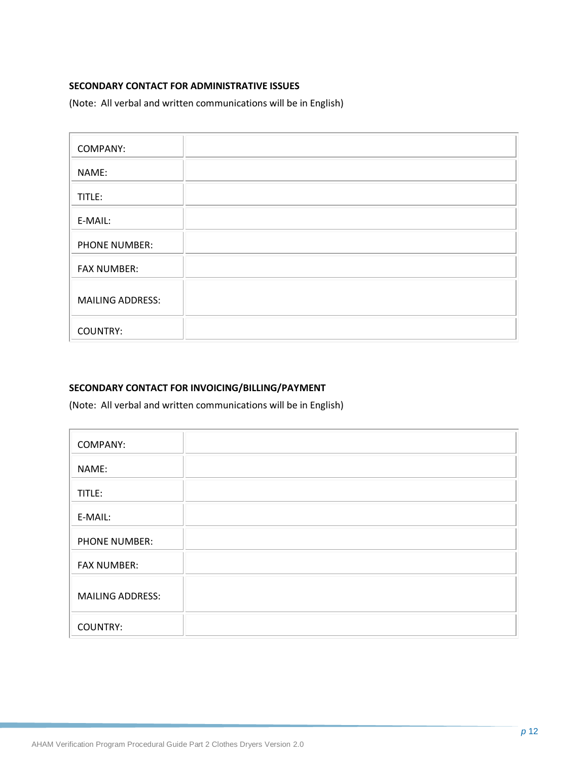### **SECONDARY CONTACT FOR ADMINISTRATIVE ISSUES**

(Note: All verbal and written communications will be in English)

| <b>COMPANY:</b>         |  |
|-------------------------|--|
| NAME:                   |  |
| TITLE:                  |  |
| E-MAIL:                 |  |
| PHONE NUMBER:           |  |
| <b>FAX NUMBER:</b>      |  |
| <b>MAILING ADDRESS:</b> |  |
| <b>COUNTRY:</b>         |  |

#### **SECONDARY CONTACT FOR INVOICING/BILLING/PAYMENT**

(Note: All verbal and written communications will be in English)

| <b>COMPANY:</b>         |  |
|-------------------------|--|
| NAME:                   |  |
| TITLE:                  |  |
| E-MAIL:                 |  |
| <b>PHONE NUMBER:</b>    |  |
| <b>FAX NUMBER:</b>      |  |
| <b>MAILING ADDRESS:</b> |  |
| <b>COUNTRY:</b>         |  |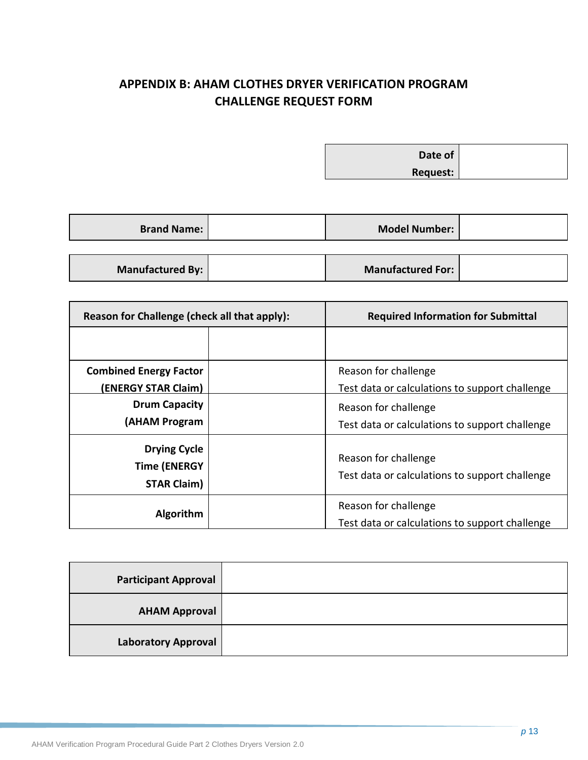## <span id="page-18-0"></span>**APPENDIX B: AHAM CLOTHES DRYER VERIFICATION PROGRAM CHALLENGE REQUEST FORM**

**Date of Request:**

| <b>Brand Name:</b> | <b>Model Number:</b>     |  |
|--------------------|--------------------------|--|
|                    |                          |  |
| Manufactured By:   | <b>Manufactured For:</b> |  |

| Reason for Challenge (check all that apply):                     | <b>Required Information for Submittal</b>                              |  |
|------------------------------------------------------------------|------------------------------------------------------------------------|--|
|                                                                  |                                                                        |  |
| <b>Combined Energy Factor</b><br>(ENERGY STAR Claim)             | Reason for challenge<br>Test data or calculations to support challenge |  |
| <b>Drum Capacity</b><br>(AHAM Program                            | Reason for challenge<br>Test data or calculations to support challenge |  |
| <b>Drying Cycle</b><br><b>Time (ENERGY</b><br><b>STAR Claim)</b> | Reason for challenge<br>Test data or calculations to support challenge |  |
| Algorithm                                                        | Reason for challenge<br>Test data or calculations to support challenge |  |

| <b>Participant Approval</b> |  |
|-----------------------------|--|
| <b>AHAM Approval</b>        |  |
| <b>Laboratory Approval</b>  |  |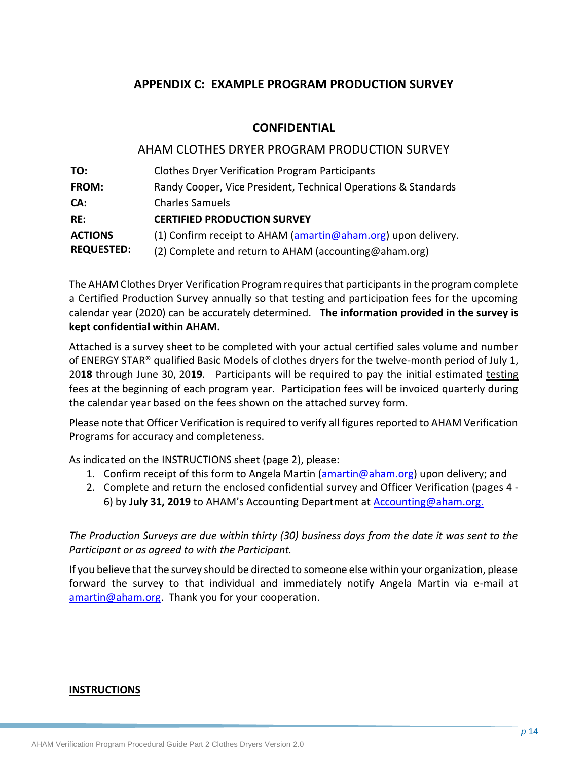## <span id="page-19-0"></span>**APPENDIX C: EXAMPLE PROGRAM PRODUCTION SURVEY**

### **CONFIDENTIAL**

### AHAM CLOTHES DRYER PROGRAM PRODUCTION SURVEY

| TO:               | <b>Clothes Dryer Verification Program Participants</b>         |
|-------------------|----------------------------------------------------------------|
| <b>FROM:</b>      | Randy Cooper, Vice President, Technical Operations & Standards |
| CA:               | <b>Charles Samuels</b>                                         |
| RE:               | <b>CERTIFIED PRODUCTION SURVEY</b>                             |
| <b>ACTIONS</b>    | (1) Confirm receipt to AHAM (amartin@aham.org) upon delivery.  |
| <b>REQUESTED:</b> | (2) Complete and return to AHAM (accounting@aham.org)          |

The AHAM Clothes Dryer Verification Program requires that participants in the program complete a Certified Production Survey annually so that testing and participation fees for the upcoming calendar year (2020) can be accurately determined. **The information provided in the survey is kept confidential within AHAM.** 

Attached is a survey sheet to be completed with your actual certified sales volume and number of ENERGY STAR® qualified Basic Models of clothes dryers for the twelve-month period of July 1, 20**18** through June 30, 20**19**. Participants will be required to pay the initial estimated testing fees at the beginning of each program year. Participation fees will be invoiced quarterly during the calendar year based on the fees shown on the attached survey form.

Please note that Officer Verification is required to verify all figures reported to AHAM Verification Programs for accuracy and completeness.

As indicated on the INSTRUCTIONS sheet (page 2), please:

- 1. Confirm receipt of this form to Angela Martin [\(amartin@aham.org\)](mailto:jbibins@aham.org) upon delivery; and
- 2. Complete and return the enclosed confidential survey and Officer Verification (pages 4 6) by **July 31, 2019** to AHAM's Accounting Department at [Accounting@aham.org.](mailto:Accounting@aham.org)

*The Production Surveys are due within thirty (30) business days from the date it was sent to the Participant or as agreed to with the Participant.*

If you believe that the survey should be directed to someone else within your organization, please forward the survey to that individual and immediately notify Angela Martin via e-mail at [amartin@aham.org.](mailto:jbibins@aham.org) Thank you for your cooperation.

#### **INSTRUCTIONS**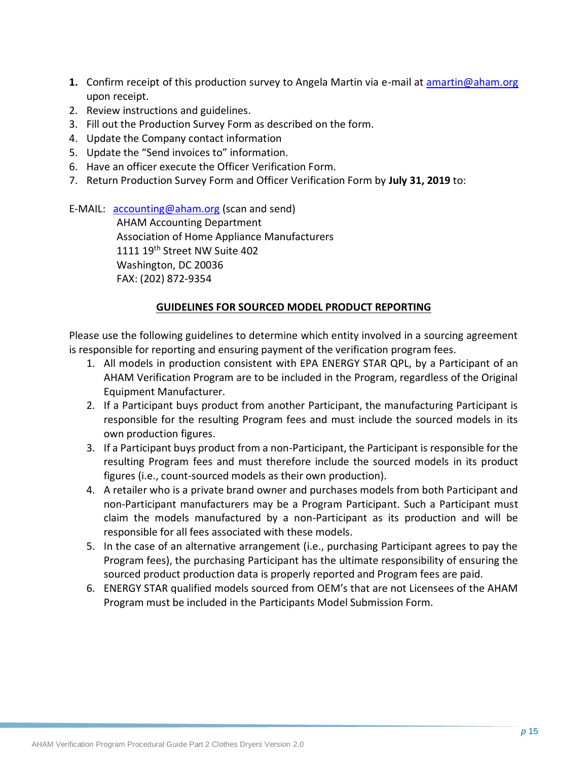- **1.** Confirm receipt of this production survey to Angela Martin via e-mail at [amartin@aham.org](mailto:jbibins@aham.org) upon receipt.
- 2. Review instructions and guidelines.
- 3. Fill out the Production Survey Form as described on the form.
- 4. Update the Company contact information
- 5. Update the "Send invoices to" information.
- 6. Have an officer execute the Officer Verification Form.
- 7. Return Production Survey Form and Officer Verification Form by **July 31, 2019** to:

E-MAIL: [accounting@aham.org](mailto:accounting@aham.org) (scan and send)

AHAM Accounting Department Association of Home Appliance Manufacturers 1111 19th Street NW Suite 402 Washington, DC 20036 FAX: (202) 872-9354

## **GUIDELINES FOR SOURCED MODEL PRODUCT REPORTING**

Please use the following guidelines to determine which entity involved in a sourcing agreement is responsible for reporting and ensuring payment of the verification program fees.

- 1. All models in production consistent with EPA ENERGY STAR QPL, by a Participant of an AHAM Verification Program are to be included in the Program, regardless of the Original Equipment Manufacturer.
- 2. If a Participant buys product from another Participant, the manufacturing Participant is responsible for the resulting Program fees and must include the sourced models in its own production figures.
- 3. If a Participant buys product from a non-Participant, the Participant is responsible for the resulting Program fees and must therefore include the sourced models in its product figures (i.e., count-sourced models as their own production).
- 4. A retailer who is a private brand owner and purchases models from both Participant and non-Participant manufacturers may be a Program Participant. Such a Participant must claim the models manufactured by a non-Participant as its production and will be responsible for all fees associated with these models.
- 5. In the case of an alternative arrangement (i.e., purchasing Participant agrees to pay the Program fees), the purchasing Participant has the ultimate responsibility of ensuring the sourced product production data is properly reported and Program fees are paid.
- 6. ENERGY STAR qualified models sourced from OEM's that are not Licensees of the AHAM Program must be included in the Participants Model Submission Form.